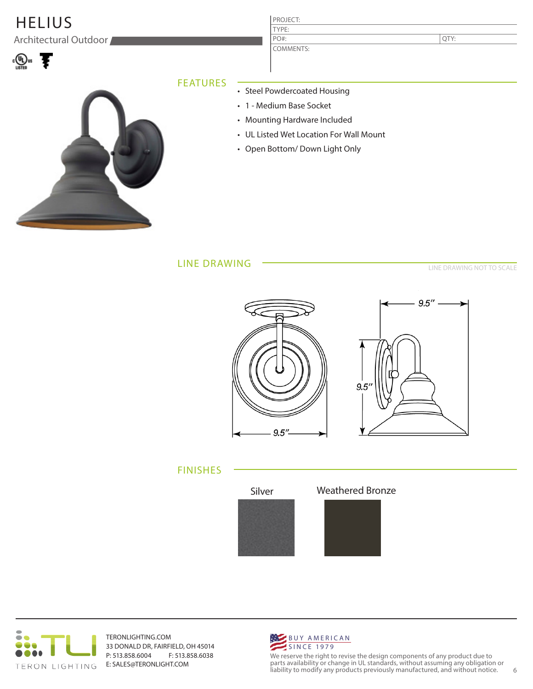### HELIUS PROJECT:

Architectural Outdoor



TYPE:

COMMENTS: PO#:

QTY:

### FEATURES

- Steel Powdercoated Housing
- 1 Medium Base Socket
- Mounting Hardware Included
- UL Listed Wet Location For Wall Mount
- Open Bottom/ Down Light Only

### LINE DRAWING

LINE DRAWING NOT TO SCALE





FINISHES





TERONLIGHTING.COM 33 DONALD DR, FAIRFIELD, OH 45014 P: 513.858.6004 F: 513.858.6038 E: SALES@TERONLIGHT.COM



We reserve the right to revise the design components of any product due to parts availability or change in UL standards, without assuming any obligation or liability to modify any products previously manufactured, and without notice. 6